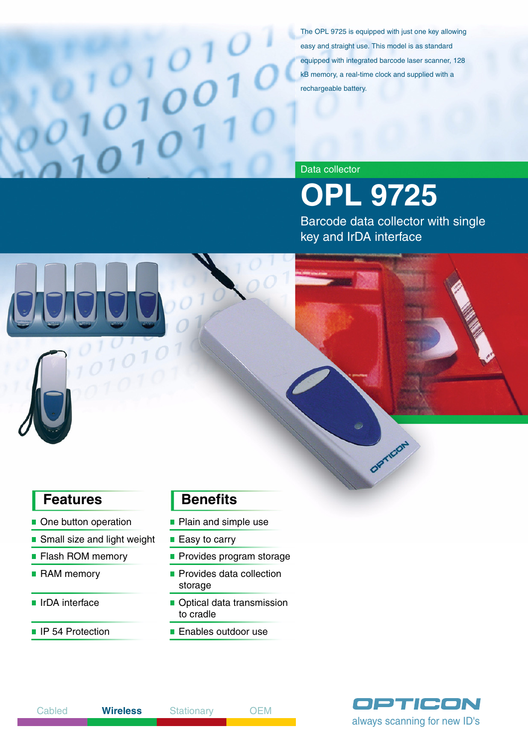The OPL 9725 is equipped with just one key allowing easy and straight use. This model is as standard equipped with integrated barcode laser scanner, 128 kB memory, a real-time clock and supplied with a rechargeable battery.

### Data collector

**OPL 9725**

Barcode data collector with single key and IrDA interface

- One button operation Plain and simple use
- Small size and light weight Easy to carry
- 
- 
- 
- 

# **Features** Benefits

- 
- 
- **Flash ROM memory Provides program storage**
- **RAM memory Provides data collection** storage
- IrDA interface **IF** Optical data transmission to cradle
- IP 54 Protection Enables outdoor use